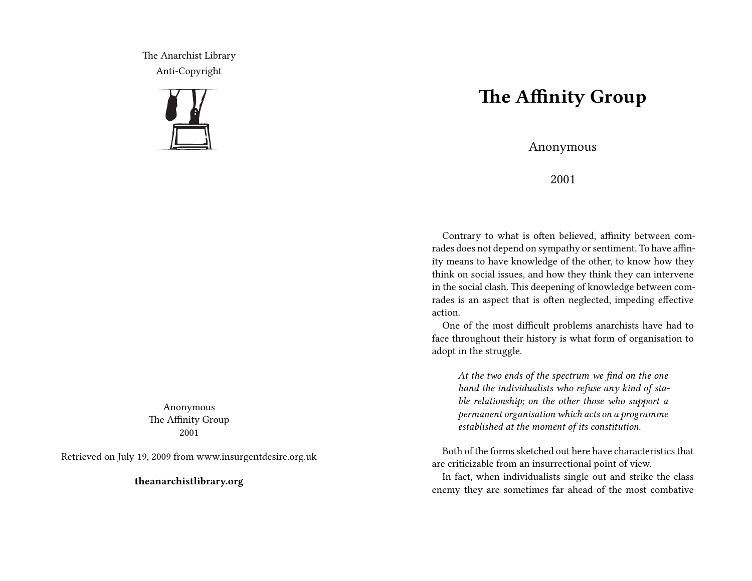The Anarchist Library Anti-Copyright



Anonymous The Affinity Group 2001

Retrieved on July 19, 2009 from www.insurgentdesire.org.uk

**theanarchistlibrary.org**

## **The Affinity Group**

Anonymous

2001

Contrary to what is often believed, affinity between comrades does not depend on sympathy or sentiment. To have affinity means to have knowledge of the other, to know how they think on social issues, and how they think they can intervene in the social clash. This deepening of knowledge between comrades is an aspect that is often neglected, impeding effective action.

One of the most difficult problems anarchists have had to face throughout their history is what form of organisation to adopt in the struggle.

*At the two ends of the spectrum we find on the one hand the individualists who refuse any kind of stable relationship; on the other those who support a permanent organisation which acts on a programme established at the moment of its constitution.*

Both of the forms sketched out here have characteristics that are criticizable from an insurrectional point of view.

In fact, when individualists single out and strike the class enemy they are sometimes far ahead of the most combative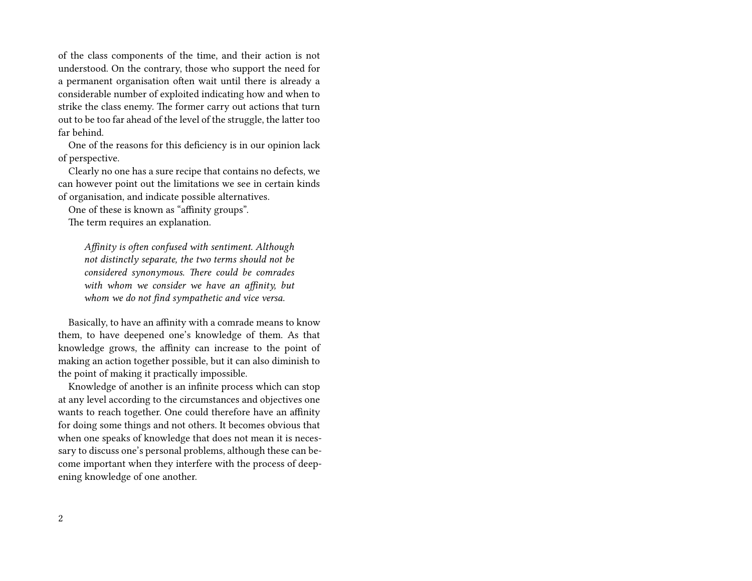of the class components of the time, and their action is not understood. On the contrary, those who support the need for a permanent organisation often wait until there is already a considerable number of exploited indicating how and when to strike the class enemy. The former carry out actions that turn out to be too far ahead of the level of the struggle, the latter too far behind.

One of the reasons for this deficiency is in our opinion lack of perspective.

Clearly no one has a sure recipe that contains no defects, we can however point out the limitations we see in certain kinds of organisation, and indicate possible alternatives.

One of these is known as "affinity groups".

The term requires an explanation.

*Affinity is often confused with sentiment. Although not distinctly separate, the two terms should not be considered synonymous. There could be comrades with whom we consider we have an affinity, but whom we do not find sympathetic and vice versa.*

Basically, to have an affinity with a comrade means to know them, to have deepened one's knowledge of them. As that knowledge grows, the affinity can increase to the point of making an action together possible, but it can also diminish to the point of making it practically impossible.

Knowledge of another is an infinite process which can stop at any level according to the circumstances and objectives one wants to reach together. One could therefore have an affinity for doing some things and not others. It becomes obvious that when one speaks of knowledge that does not mean it is necessary to discuss one's personal problems, although these can become important when they interfere with the process of deepening knowledge of one another.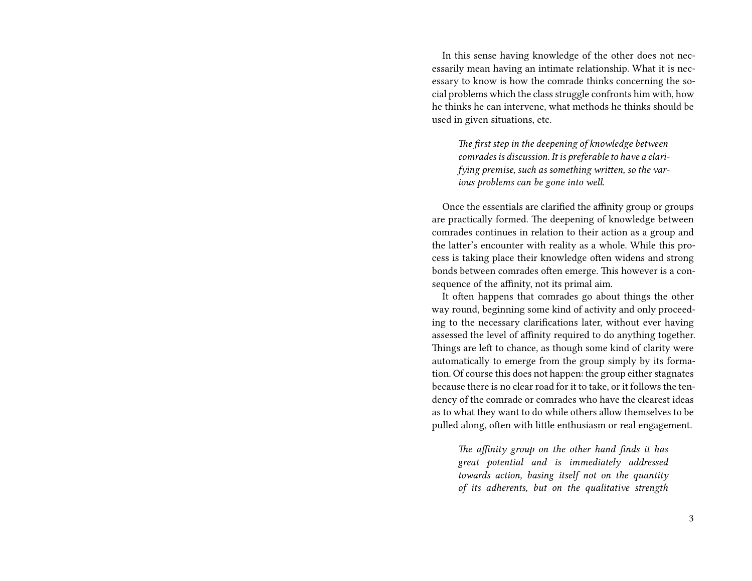In this sense having knowledge of the other does not necessarily mean having an intimate relationship. What it is necessary to know is how the comrade thinks concerning the social problems which the class struggle confronts him with, how he thinks he can intervene, what methods he thinks should be used in given situations, etc.

*The first step in the deepening of knowledge between comrades is discussion. It is preferable to have a clarifying premise, such as something written, so the various problems can be gone into well.*

Once the essentials are clarified the affinity group or groups are practically formed. The deepening of knowledge between comrades continues in relation to their action as a group and the latter's encounter with reality as a whole. While this process is taking place their knowledge often widens and strong bonds between comrades often emerge. This however is a consequence of the affinity, not its primal aim.

It often happens that comrades go about things the other way round, beginning some kind of activity and only proceeding to the necessary clarifications later, without ever having assessed the level of affinity required to do anything together. Things are left to chance, as though some kind of clarity were automatically to emerge from the group simply by its formation. Of course this does not happen: the group either stagnates because there is no clear road for it to take, or it follows the tendency of the comrade or comrades who have the clearest ideas as to what they want to do while others allow themselves to be pulled along, often with little enthusiasm or real engagement.

*The affinity group on the other hand finds it has great potential and is immediately addressed towards action, basing itself not on the quantity of its adherents, but on the qualitative strength*